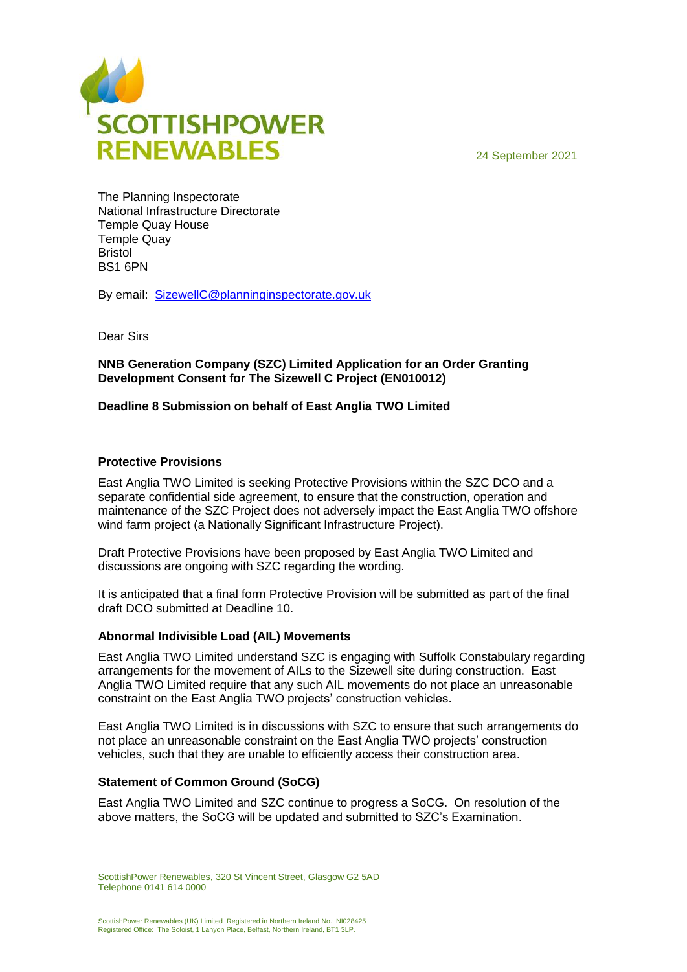

24 September 2021

The Planning Inspectorate National Infrastructure Directorate Temple Quay House Temple Quay Bristol BS1 6PN

By email: [SizewellC@planninginspectorate.gov.uk](mailto:SizewellC@planninginspectorate.gov.uk)

Dear Sirs

**NNB Generation Company (SZC) Limited Application for an Order Granting Development Consent for The Sizewell C Project (EN010012)**

## **Deadline 8 Submission on behalf of East Anglia TWO Limited**

## **Protective Provisions**

East Anglia TWO Limited is seeking Protective Provisions within the SZC DCO and a separate confidential side agreement, to ensure that the construction, operation and maintenance of the SZC Project does not adversely impact the East Anglia TWO offshore wind farm project (a Nationally Significant Infrastructure Project).

Draft Protective Provisions have been proposed by East Anglia TWO Limited and discussions are ongoing with SZC regarding the wording.

It is anticipated that a final form Protective Provision will be submitted as part of the final draft DCO submitted at Deadline 10.

## **Abnormal Indivisible Load (AIL) Movements**

East Anglia TWO Limited understand SZC is engaging with Suffolk Constabulary regarding arrangements for the movement of AILs to the Sizewell site during construction. East Anglia TWO Limited require that any such AIL movements do not place an unreasonable constraint on the East Anglia TWO projects' construction vehicles.

East Anglia TWO Limited is in discussions with SZC to ensure that such arrangements do not place an unreasonable constraint on the East Anglia TWO projects' construction vehicles, such that they are unable to efficiently access their construction area.

## **Statement of Common Ground (SoCG)**

East Anglia TWO Limited and SZC continue to progress a SoCG. On resolution of the above matters, the SoCG will be updated and submitted to SZC's Examination.

ScottishPower Renewables, 320 St Vincent Street, Glasgow G2 5AD Telephone 0141 614 0000